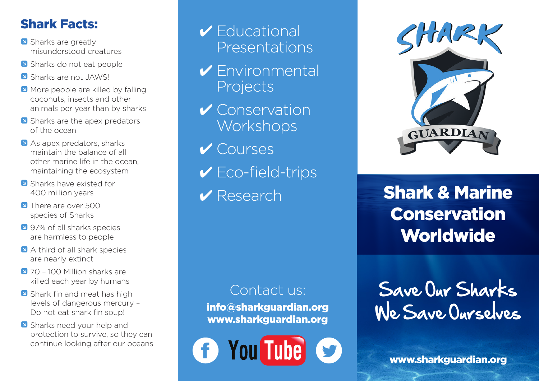### Shark Facts:

- Sharks are greatly misunderstood creatures
- Sharks do not eat people
- **N** Sharks are not JAWS!
- **N** More people are killed by falling coconuts, insects and other animals per year than by sharks
- **N** Sharks are the apex predators of the ocean
- U As apex predators, sharks maintain the balance of all other marine life in the ocean, maintaining the ecosystem
- **V** Sharks have existed for 400 million years
- **D** There are over 500 species of Sharks
- **V** 97% of all sharks species are harmless to people
- **N** A third of all shark species are nearly extinct
- U 70 100 Million sharks are killed each year by humans
- Shark fin and meat has high levels of dangerous mercury – Do not eat shark fin soup!
- Sharks need your help and protection to survive, so they can continue looking after our oceans

## 4 Educational Presentations

- 4 Environmental Projects
- $\checkmark$  Conservation **Workshops**
- 4 Courses
- $\checkmark$  Eco-field-trips
- ✔ Research

6

### Contact us:

info@sharkguardian.org www.sharkguardian.org

**You Tube** 



# Shark & Marine Conservation **Worldwide**

Save Our Sharks We Save Ourselves

www.sharkguardian.org